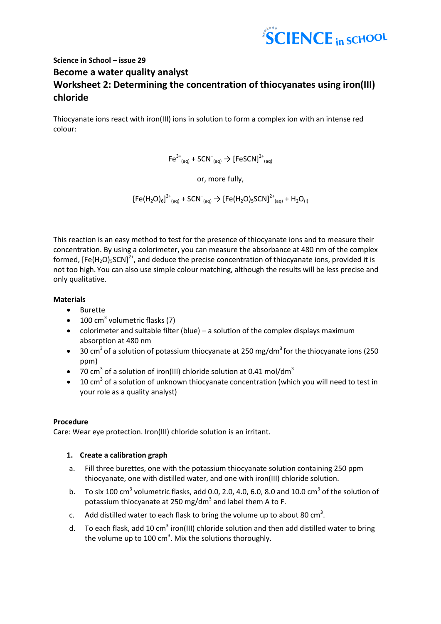

# **Science in School – issue 29 Become a water quality analyst Worksheet 2: Determining the concentration of thiocyanates using iron(III) chloride**

Thiocyanate ions react with iron(III) ions in solution to form a complex ion with an intense red colour:

$$
\mathsf{Fe}^{3+}_{\phantom{3}(\mathsf{aq})} + \mathsf{SCN}^-_{\phantom{3}(\mathsf{aq})} \mathbin{\rightarrow} \left[\mathsf{FeSCN}\right]^{2+}_{\phantom{2}(\mathsf{aq})}
$$

or, more fully,

 $[Fe(H<sub>2</sub>O)<sub>6</sub>]$ <sup>3+</sup><sub>(aq)</sub> + SCN<sup>-</sup><sub>(aq)</sub>  $\rightarrow$   $[Fe(H<sub>2</sub>O)<sub>5</sub>SCN]$ <sup>2+</sup><sub>(aq)</sub> + H<sub>2</sub>O<sub>(I)</sub>

This reaction is an easy method to test for the presence of thiocyanate ions and to measure their concentration. By using a colorimeter, you can measure the absorbance at 480 nm of the complex formed,  $[Fe(H<sub>2</sub>O)<sub>5</sub>SCN]<sup>2+</sup>$ , and deduce the precise concentration of thiocyanate ions, provided it is not too high. You can also use simple colour matching, although the results will be less precise and only qualitative.

### **Materials**

- Burette
- $\bullet$  100 cm<sup>3</sup> volumetric flasks (7)
- colorimeter and suitable filter (blue) a solution of the complex displays maximum absorption at 480 nm
- $\bullet$  30 cm<sup>3</sup> of a solution of potassium thiocyanate at 250 mg/dm<sup>3</sup> for the thiocyanate ions (250 ppm)
- 70 cm<sup>3</sup> of a solution of iron(III) chloride solution at 0.41 mol/dm<sup>3</sup>
- $\bullet$  10 cm<sup>3</sup> of a solution of unknown thiocyanate concentration (which you will need to test in your role as a quality analyst)

## **Procedure**

Care: Wear eye protection. Iron(III) chloride solution is an irritant.

## **1. Create a calibration graph**

- a. Fill three burettes, one with the potassium thiocyanate solution containing 250 ppm thiocyanate, one with distilled water, and one with iron(III) chloride solution.
- b. To six 100 cm<sup>3</sup> volumetric flasks, add 0.0, 2.0, 4.0, 6.0, 8.0 and 10.0 cm<sup>3</sup> of the solution of potassium thiocyanate at 250 mg/dm<sup>3</sup> and label them A to F.
- c. Add distilled water to each flask to bring the volume up to about 80 cm<sup>3</sup>.
- d. To each flask, add 10 cm<sup>3</sup> iron(III) chloride solution and then add distilled water to bring the volume up to 100  $\text{cm}^3$ . Mix the solutions thoroughly.